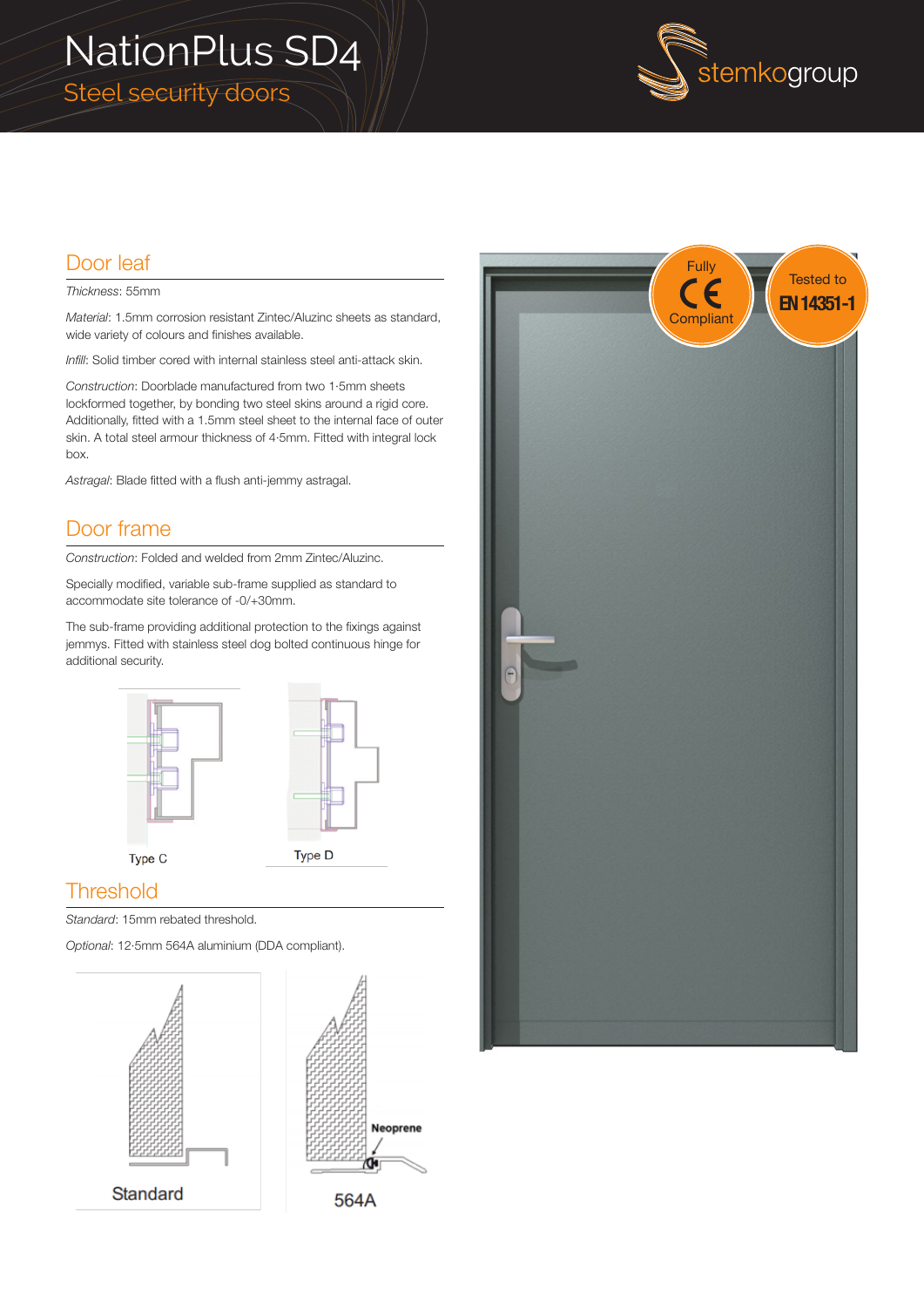# NationPlus SD4 Steel security doors



Fully

Tested to

### Door leaf

#### *Thickness*: 55mm

*Material*: 1.5mm corrosion resistant Zintec/Aluzinc sheets as standard, wide variety of colours and finishes available.

*Infill*: Solid timber cored with internal stainless steel anti-attack skin.

*Construction*: Doorblade manufactured from two 1·5mm sheets lockformed together, by bonding two steel skins around a rigid core. Additionally, fitted with a 1.5mm steel sheet to the internal face of outer skin. A total steel armour thickness of 4·5mm. Fitted with integral lock box.

*Astragal*: Blade fitted with a flush anti-jemmy astragal.

#### Door frame

*Construction*: Folded and welded from 2mm Zintec/Aluzinc.

Specially modified, variable sub-frame supplied as standard to accommodate site tolerance of -0/+30mm.

The sub-frame providing additional protection to the fixings against jemmys. Fitted with stainless steel dog bolted continuous hinge for additional security.





Neoprene

#### **Threshold**

*Standard*: 15mm rebated threshold.

*Optional*: 12·5mm 564A aluminium (DDA compliant).